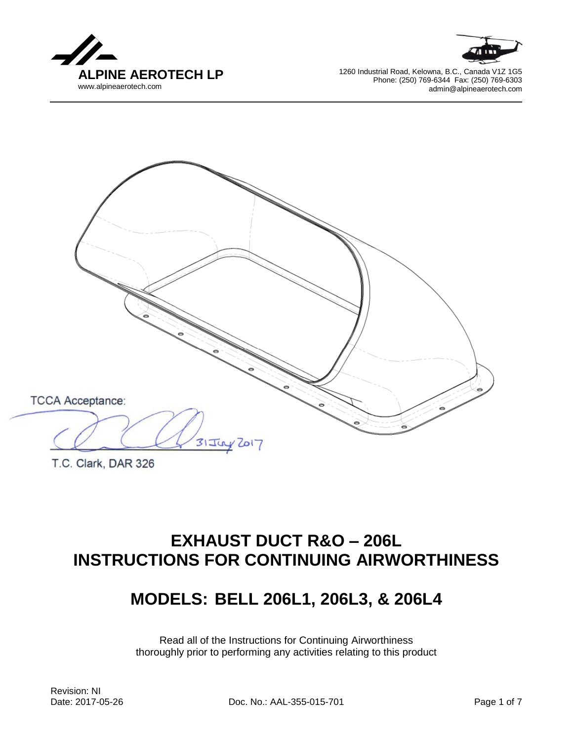





T.C. Clark, DAR 326

# **EXHAUST DUCT R&O – 206L INSTRUCTIONS FOR CONTINUING AIRWORTHINESS**

# **MODELS: BELL 206L1, 206L3, & 206L4**

Read all of the Instructions for Continuing Airworthiness thoroughly prior to performing any activities relating to this product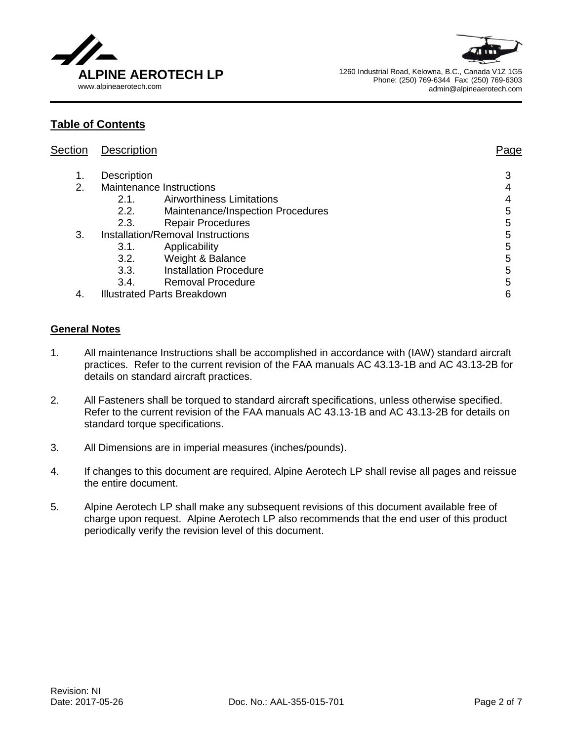



# **Table of Contents**

| Section | <b>Description</b>                 |                                   | Page |
|---------|------------------------------------|-----------------------------------|------|
| 1.      | <b>Description</b>                 |                                   | 3    |
| 2.      | Maintenance Instructions           |                                   |      |
|         | 2.1.                               | <b>Airworthiness Limitations</b>  |      |
|         | 2.2.                               | Maintenance/Inspection Procedures | 5    |
|         | 2.3.                               | <b>Repair Procedures</b>          | 5    |
| 3.      | Installation/Removal Instructions  |                                   | 5    |
|         | 3.1.                               | Applicability                     | 5    |
|         | 3.2.                               | Weight & Balance                  | 5    |
|         | 3.3.                               | <b>Installation Procedure</b>     | 5    |
|         | 3.4.                               | <b>Removal Procedure</b>          | 5    |
| 4.      | <b>Illustrated Parts Breakdown</b> | 6                                 |      |

## **General Notes**

- 1. All maintenance Instructions shall be accomplished in accordance with (IAW) standard aircraft practices. Refer to the current revision of the FAA manuals AC 43.13-1B and AC 43.13-2B for details on standard aircraft practices.
- 2. All Fasteners shall be torqued to standard aircraft specifications, unless otherwise specified. Refer to the current revision of the FAA manuals AC 43.13-1B and AC 43.13-2B for details on standard torque specifications.
- 3. All Dimensions are in imperial measures (inches/pounds).
- 4. If changes to this document are required, Alpine Aerotech LP shall revise all pages and reissue the entire document.
- 5. Alpine Aerotech LP shall make any subsequent revisions of this document available free of charge upon request. Alpine Aerotech LP also recommends that the end user of this product periodically verify the revision level of this document.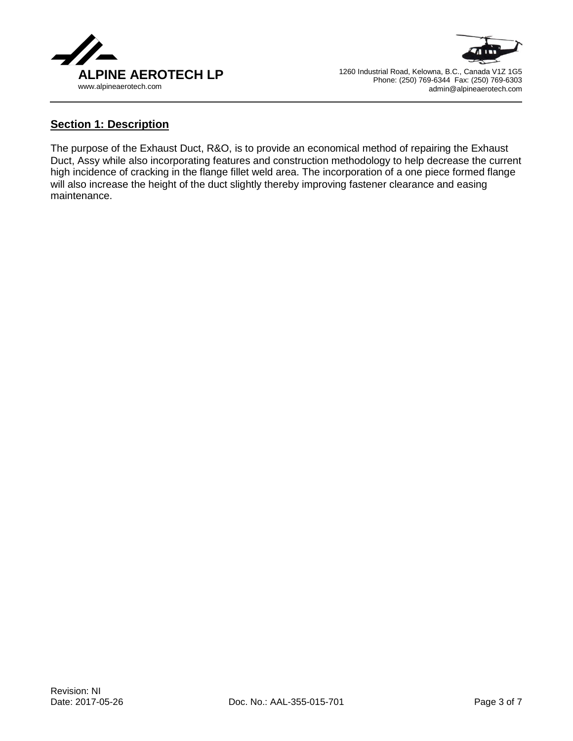



## **Section 1: Description**

The purpose of the Exhaust Duct, R&O, is to provide an economical method of repairing the Exhaust Duct, Assy while also incorporating features and construction methodology to help decrease the current high incidence of cracking in the flange fillet weld area. The incorporation of a one piece formed flange will also increase the height of the duct slightly thereby improving fastener clearance and easing maintenance.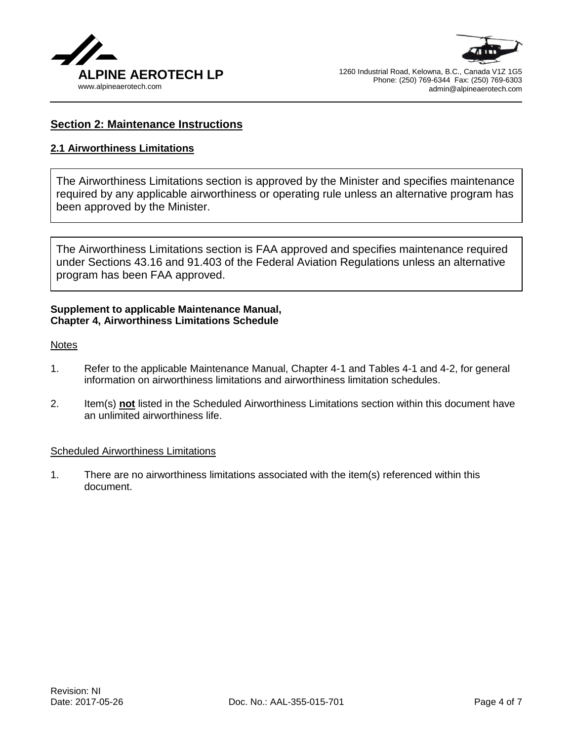



# **Section 2: Maintenance Instructions**

## **2.1 Airworthiness Limitations**

The Airworthiness Limitations section is approved by the Minister and specifies maintenance required by any applicable airworthiness or operating rule unless an alternative program has been approved by the Minister.

The Airworthiness Limitations section is FAA approved and specifies maintenance required under Sections 43.16 and 91.403 of the Federal Aviation Regulations unless an alternative program has been FAA approved.

#### **Supplement to applicable Maintenance Manual, Chapter 4, Airworthiness Limitations Schedule**

#### **Notes**

- 1. Refer to the applicable Maintenance Manual, Chapter 4-1 and Tables 4-1 and 4-2, for general information on airworthiness limitations and airworthiness limitation schedules.
- 2. Item(s) **not** listed in the Scheduled Airworthiness Limitations section within this document have an unlimited airworthiness life.

#### Scheduled Airworthiness Limitations

1. There are no airworthiness limitations associated with the item(s) referenced within this document.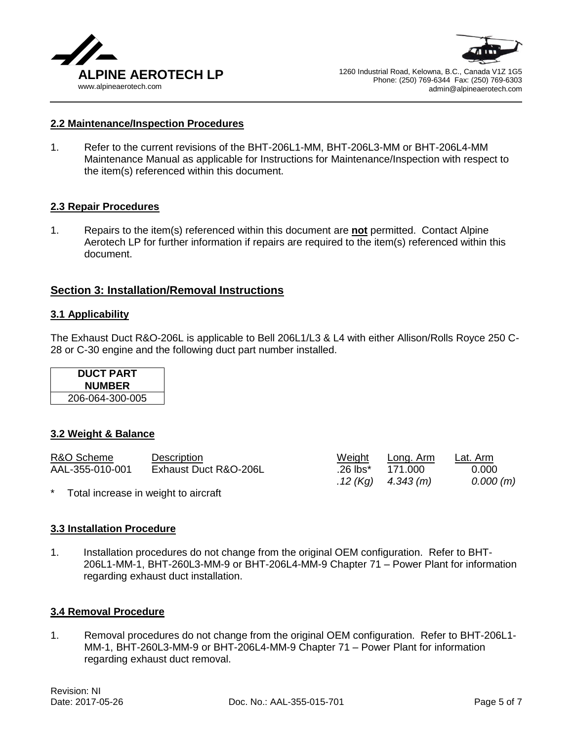



#### **2.2 Maintenance/Inspection Procedures**

1. Refer to the current revisions of the BHT-206L1-MM, BHT-206L3-MM or BHT-206L4-MM Maintenance Manual as applicable for Instructions for Maintenance/Inspection with respect to the item(s) referenced within this document.

#### **2.3 Repair Procedures**

1. Repairs to the item(s) referenced within this document are **not** permitted. Contact Alpine Aerotech LP for further information if repairs are required to the item(s) referenced within this document.

#### **Section 3: Installation/Removal Instructions**

#### **3.1 Applicability**

The Exhaust Duct R&O-206L is applicable to Bell 206L1/L3 & L4 with either Allison/Rolls Royce 250 C-28 or C-30 engine and the following duct part number installed.

| <b>DUCT PART</b> |  |
|------------------|--|
| <b>NUMBER</b>    |  |
| 206-064-300-005  |  |

#### **3.2 Weight & Balance**

| R&O Scheme      | Description                          | Weight   | Long. Arm            | Lat. Arm |
|-----------------|--------------------------------------|----------|----------------------|----------|
| AAL-355-010-001 | Exhaust Duct R&O-206L                | .26 lbs* | 171.000              | 0.000    |
|                 |                                      |          | .12 (Kg) $4.343$ (m) | 0.000(m) |
| $\star$         | Total increase in weight to aircraft |          |                      |          |

# **3.3 Installation Procedure**

1. Installation procedures do not change from the original OEM configuration. Refer to BHT-206L1-MM-1, BHT-260L3-MM-9 or BHT-206L4-MM-9 Chapter 71 – Power Plant for information regarding exhaust duct installation.

#### **3.4 Removal Procedure**

1. Removal procedures do not change from the original OEM configuration. Refer to BHT-206L1- MM-1, BHT-260L3-MM-9 or BHT-206L4-MM-9 Chapter 71 – Power Plant for information regarding exhaust duct removal.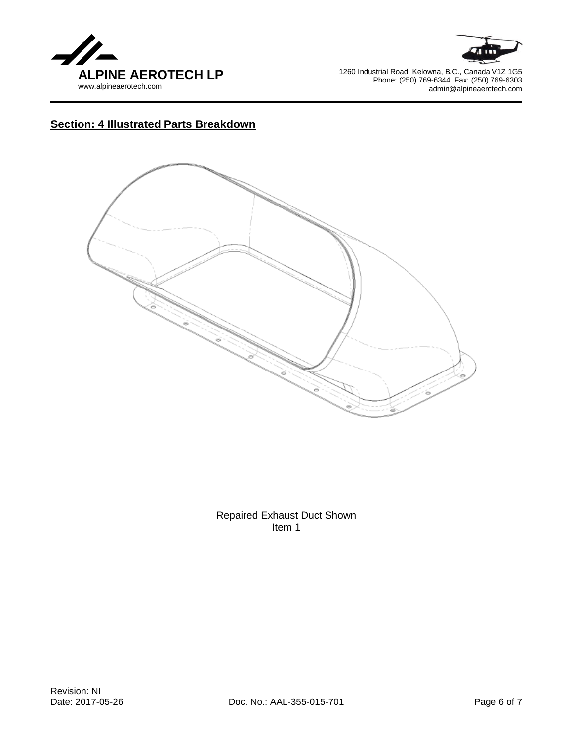



# **Section: 4 Illustrated Parts Breakdown**



Repaired Exhaust Duct Shown Item 1